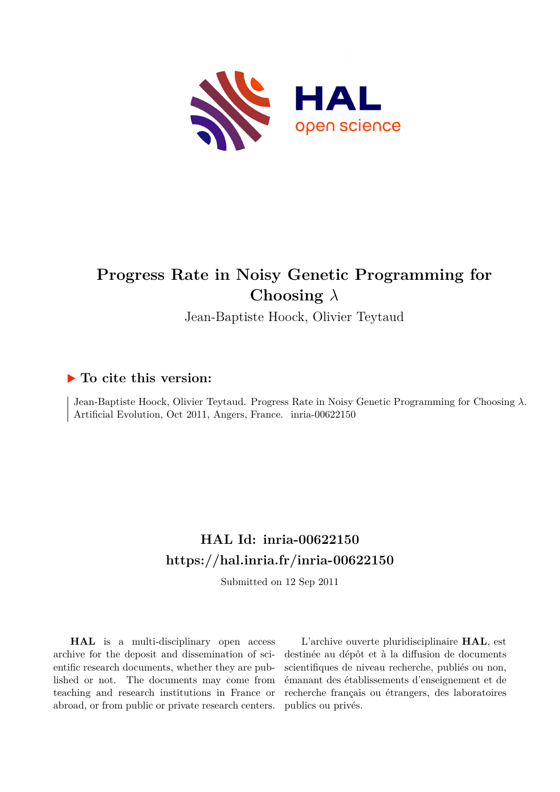

# **Progress Rate in Noisy Genetic Programming for Choosing** *λ*

Jean-Baptiste Hoock, Olivier Teytaud

# **To cite this version:**

Jean-Baptiste Hoock, Olivier Teytaud. Progress Rate in Noisy Genetic Programming for Choosing *λ*. Artificial Evolution, Oct 2011, Angers, France. inria-00622150

# **HAL Id: inria-00622150 <https://hal.inria.fr/inria-00622150>**

Submitted on 12 Sep 2011

**HAL** is a multi-disciplinary open access archive for the deposit and dissemination of scientific research documents, whether they are published or not. The documents may come from teaching and research institutions in France or abroad, or from public or private research centers.

L'archive ouverte pluridisciplinaire **HAL**, est destinée au dépôt et à la diffusion de documents scientifiques de niveau recherche, publiés ou non, émanant des établissements d'enseignement et de recherche français ou étrangers, des laboratoires publics ou privés.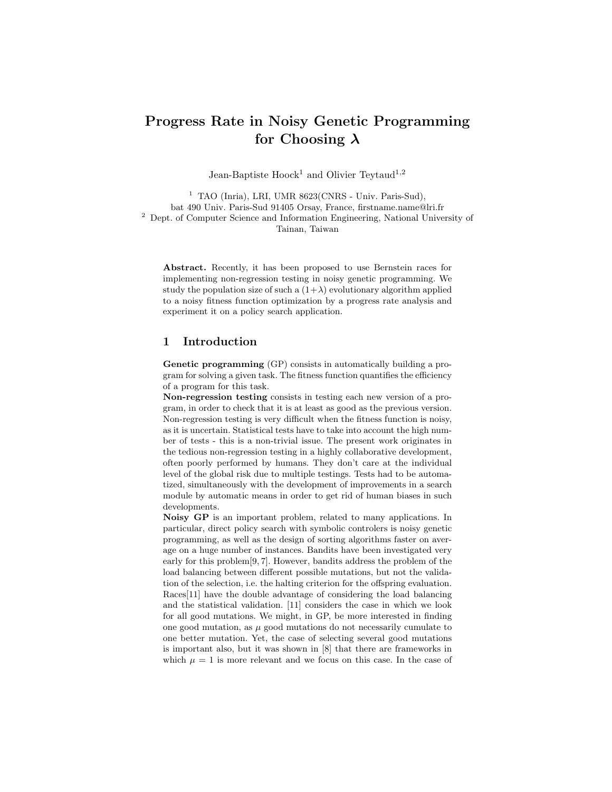# Progress Rate in Noisy Genetic Programming for Choosing  $\lambda$

Jean-Baptiste Hoock<sup>1</sup> and Olivier Teytaud<sup>1,2</sup>

<sup>1</sup> TAO (Inria), LRI, UMR 8623(CNRS - Univ. Paris-Sud), bat 490 Univ. Paris-Sud 91405 Orsay, France, firstname.name@lri.fr <sup>2</sup> Dept. of Computer Science and Information Engineering, National University of Tainan, Taiwan

Abstract. Recently, it has been proposed to use Bernstein races for implementing non-regression testing in noisy genetic programming. We study the population size of such a  $(1+\lambda)$  evolutionary algorithm applied to a noisy fitness function optimization by a progress rate analysis and experiment it on a policy search application.

#### 1 Introduction

Genetic programming (GP) consists in automatically building a program for solving a given task. The fitness function quantifies the efficiency of a program for this task.

Non-regression testing consists in testing each new version of a program, in order to check that it is at least as good as the previous version. Non-regression testing is very difficult when the fitness function is noisy, as it is uncertain. Statistical tests have to take into account the high number of tests - this is a non-trivial issue. The present work originates in the tedious non-regression testing in a highly collaborative development, often poorly performed by humans. They don't care at the individual level of the global risk due to multiple testings. Tests had to be automatized, simultaneously with the development of improvements in a search module by automatic means in order to get rid of human biases in such developments.

Noisy GP is an important problem, related to many applications. In particular, direct policy search with symbolic controlers is noisy genetic programming, as well as the design of sorting algorithms faster on average on a huge number of instances. Bandits have been investigated very early for this problem[9, 7]. However, bandits address the problem of the load balancing between different possible mutations, but not the validation of the selection, i.e. the halting criterion for the offspring evaluation. Races[11] have the double advantage of considering the load balancing and the statistical validation. [11] considers the case in which we look for all good mutations. We might, in GP, be more interested in finding one good mutation, as  $\mu$  good mutations do not necessarily cumulate to one better mutation. Yet, the case of selecting several good mutations is important also, but it was shown in [8] that there are frameworks in which  $\mu = 1$  is more relevant and we focus on this case. In the case of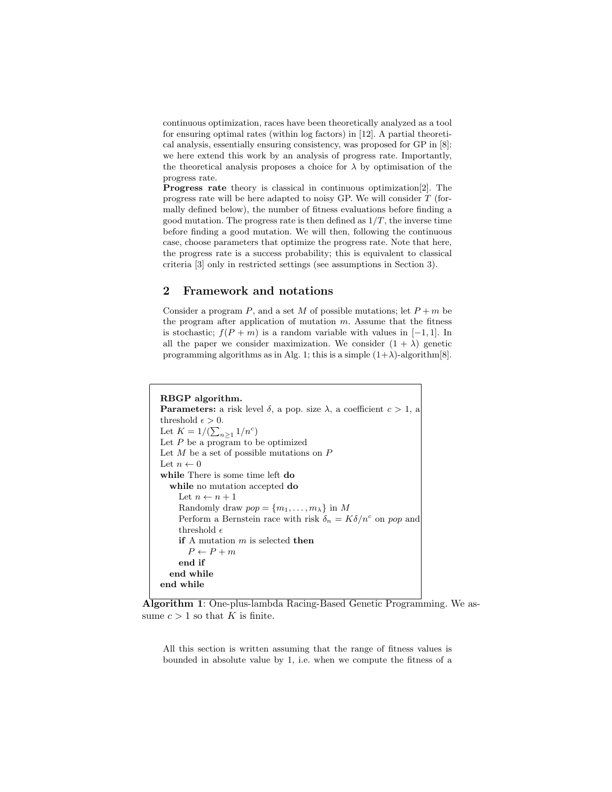continuous optimization, races have been theoretically analyzed as a tool for ensuring optimal rates (within log factors) in [12]. A partial theoretical analysis, essentially ensuring consistency, was proposed for GP in [8]: we here extend this work by an analysis of progress rate. Importantly, the theoretical analysis proposes a choice for  $\lambda$  by optimisation of the progress rate.

Progress rate theory is classical in continuous optimization[2]. The progress rate will be here adapted to noisy GP. We will consider T (formally defined below), the number of fitness evaluations before finding a good mutation. The progress rate is then defined as  $1/T$ , the inverse time before finding a good mutation. We will then, following the continuous case, choose parameters that optimize the progress rate. Note that here, the progress rate is a success probability; this is equivalent to classical criteria [3] only in restricted settings (see assumptions in Section 3).

# 2 Framework and notations

Consider a program P, and a set M of possible mutations; let  $P + m$  be the program after application of mutation  $m$ . Assume that the fitness is stochastic;  $f(P + m)$  is a random variable with values in [−1, 1]. In all the paper we consider maximization. We consider  $(1 + \lambda)$  genetic programming algorithms as in Alg. 1; this is a simple  $(1+\lambda)$ -algorithm[8].

```
RBGP algorithm.
Parameters: a risk level \delta, a pop. size \lambda, a coefficient c > 1, a
threshold \epsilon > 0.
Let K = 1/(\sum_{n \geq 1} 1/n^c)Let P be a program to be optimized
Let M be a set of possible mutations on PLet n \leftarrow 0while There is some time left do
  while no mutation accepted do
    Let n \leftarrow n + 1Randomly draw pop = \{m_1, \ldots, m_\lambda\} in M
     Perform a Bernstein race with risk \delta_n = K \delta / n^c on pop and
    threshold \epsilonif A mutation m is selected then
       P \leftarrow P + mend if
  end while
end while
```
Algorithm 1: One-plus-lambda Racing-Based Genetic Programming. We assume  $c > 1$  so that K is finite.

All this section is written assuming that the range of fitness values is bounded in absolute value by 1, i.e. when we compute the fitness of a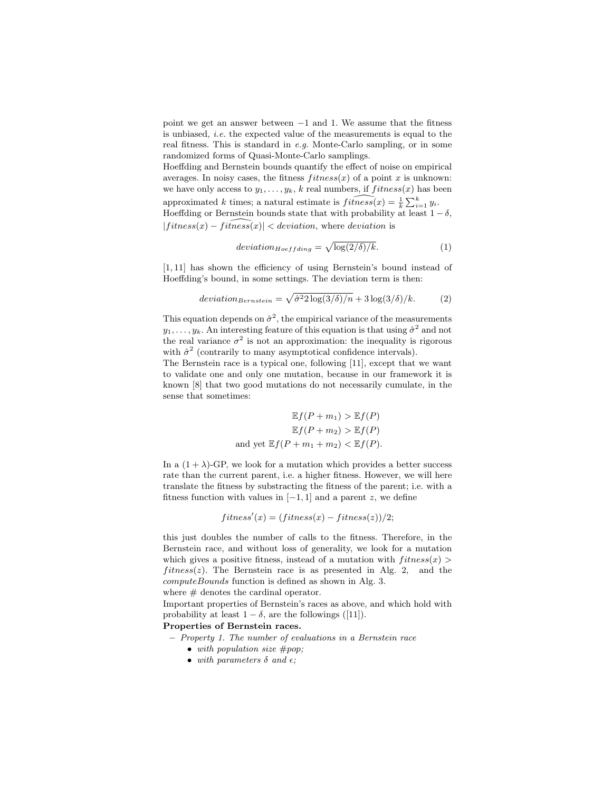point we get an answer between −1 and 1. We assume that the fitness is unbiased, *i.e.* the expected value of the measurements is equal to the real fitness. This is standard in *e.g.* Monte-Carlo sampling, or in some randomized forms of Quasi-Monte-Carlo samplings.

Hoeffding and Bernstein bounds quantify the effect of noise on empirical averages. In noisy cases, the fitness  $fitness(x)$  of a point x is unknown: we have only access to  $y_1, \ldots, y_k$ , k real numbers, if  $fitness(x)$  has been approximated k times; a natural estimate is  $\widehat{fitness}(x) = \frac{1}{k} \sum_{i=1}^{k} y_i$ . Hoeffding or Bernstein bounds state that with probability at least  $1 - \delta$ ,  $|fitness(x) - fitness(x)| < deviation$ , where deviation is

$$
deviation_{Hoeffding} = \sqrt{\log(2/\delta)/k}.
$$
 (1)

[1, 11] has shown the efficiency of using Bernstein's bound instead of Hoeffding's bound, in some settings. The deviation term is then:

deviation<sub>Bernstein</sub> = 
$$
\sqrt{\hat{\sigma}^2 2 \log(3/\delta)/n} + 3 \log(3/\delta)/k.
$$
 (2)

This equation depends on  $\hat{\sigma}^2$ , the empirical variance of the measurements  $y_1, \ldots, y_k$ . An interesting feature of this equation is that using  $\hat{\sigma}^2$  and not the real variance  $\sigma^2$  is not an approximation: the inequality is rigorous with  $\hat{\sigma}^2$  (contrarily to many asymptotical confidence intervals).

The Bernstein race is a typical one, following [11], except that we want to validate one and only one mutation, because in our framework it is known [8] that two good mutations do not necessarily cumulate, in the sense that sometimes:

$$
\mathbb{E}f(P+m_1) > \mathbb{E}f(P)
$$

$$
\mathbb{E}f(P+m_2) > \mathbb{E}f(P)
$$
and yet 
$$
\mathbb{E}f(P+m_1+m_2) < \mathbb{E}f(P).
$$

In a  $(1 + \lambda)$ -GP, we look for a mutation which provides a better success rate than the current parent, i.e. a higher fitness. However, we will here translate the fitness by substracting the fitness of the parent; i.e. with a fitness function with values in  $[-1, 1]$  and a parent z, we define

 $fitness'(x) = (fitness(x) - fitness(z))/2;$ 

this just doubles the number of calls to the fitness. Therefore, in the Bernstein race, and without loss of generality, we look for a mutation which gives a positive fitness, instead of a mutation with  $fitness(x)$ fitness(z). The Bernstein race is as presented in Alg. 2, and the computeBounds function is defined as shown in Alg. 3.

where  $#$  denotes the cardinal operator.

Important properties of Bernstein's races as above, and which hold with probability at least  $1 - \delta$ , are the followings ([11]).

Properties of Bernstein races.

- *Property 1. The number of evaluations in a Bernstein race*
	- *with population size* #pop*;*
	- with parameters  $\delta$  and  $\epsilon$ *;*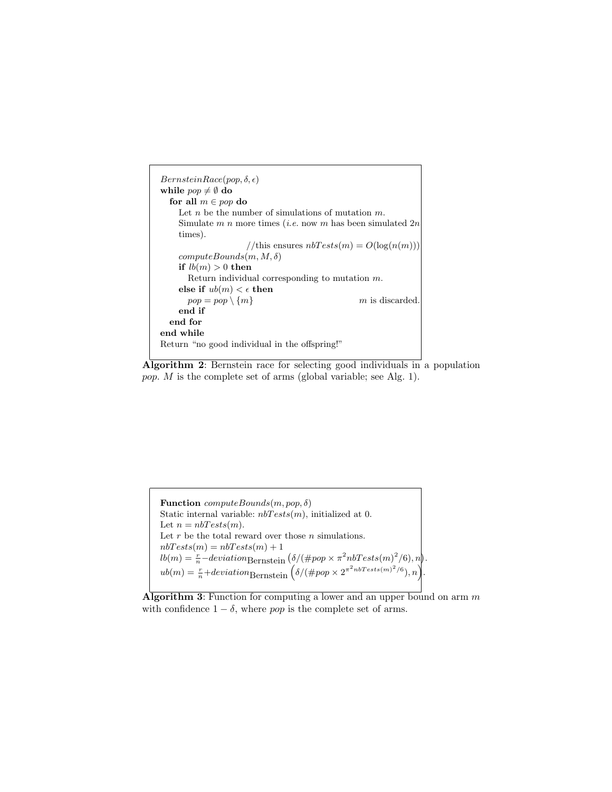```
Bernstein Race(pop, \delta, \epsilon)while pop \neq \emptyset do
  for all m \in pop do
    Let n be the number of simulations of mutation m.
    Simulate m n more times (i.e. now m has been simulated 2n
    times).
                     //this ensures nbTests(m) = O(log(n(m)))computeBounds(m, M, \delta)if lb(m) > 0 then
      Return individual corresponding to mutation m.
    else if ub(m) < \epsilon then
      pop = pop \setminus \{m\} m is discarded
    end if
  end for
end while
Return "no good individual in the offspring!"
```
Algorithm 2: Bernstein race for selecting good individuals in a population pop. M is the complete set of arms (global variable; see Alg. 1).

**Function**  $computeBounds(m, pop, \delta)$ Static internal variable:  $n bTests(m)$ , initialized at 0. Let  $n = nbTests(m)$ . Let  $r$  be the total reward over those  $n$  simulations.  $nbTests(m) = nbTests(m) + 1$  $lb(m) = \frac{r}{n}$  -deviation Bernstein  $\left(\frac{\delta}{\ell} \rho o p \times \pi^2 n bTests(m)^2/6\right), n\right).$  $ub(m) = \frac{r}{n} + deviation_{\text{Bernstein}} \left( \delta / (\#pop \times 2^{\pi^2 nbTests(m)^2/6}), n \right).$ 

Algorithm 3: Function for computing a lower and an upper bound on arm  $m$ with confidence  $1 - \delta$ , where pop is the complete set of arms.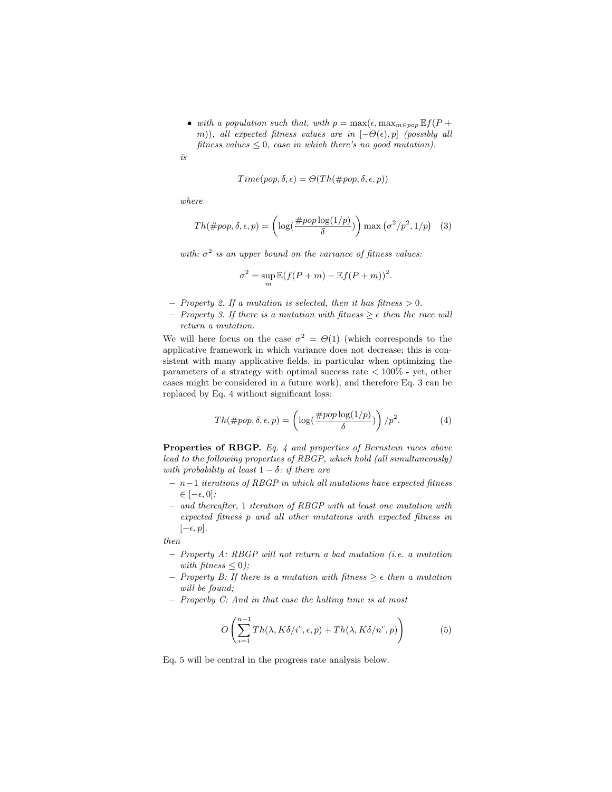• *with a population such that, with*  $p = \max(\epsilon, \max_{m \in pop} \mathbb{E} f(P +$ m)), all expected fitness values are in  $[-\Theta(\epsilon), p]$  *(possibly all*) *fitness values* ≤ 0*, case in which there's no good mutation).*

*is*

$$
Time(pop, \delta, \epsilon) = \Theta(Th(\#pop, \delta, \epsilon, p))
$$

*where*

$$
Th(\#pop, \delta, \epsilon, p) = \left(\log\left(\frac{\#pop\log(1/p)}{\delta}\right)\right) \max\left(\sigma^2/p^2, 1/p\right) \tag{3}
$$

with:  $\sigma^2$  is an upper bound on the variance of fitness values:

$$
\sigma^2 = \sup_m \mathbb{E}(f(P+m) - \mathbb{E}f(P+m))^2.
$$

- $-$  *Property 2. If a mutation is selected, then it has fitness*  $> 0$ *.*
- $-$  *Property 3. If there is a mutation with fitness*  $\geq \epsilon$  *then the race will return a mutation.*

We will here focus on the case  $\sigma^2 = \Theta(1)$  (which corresponds to the applicative framework in which variance does not decrease; this is consistent with many applicative fields, in particular when optimizing the parameters of a strategy with optimal success rate  $\langle 100\%$  - yet, other cases might be considered in a future work), and therefore Eq. 3 can be replaced by Eq. 4 without significant loss:

$$
Th(\#pop, \delta, \epsilon, p) = \left(\log\left(\frac{\#pop\log(1/p)}{\delta}\right)\right) / p^2.
$$
 (4)

Properties of RBGP. *Eq. 4 and properties of Bernstein races above lead to the following properties of RBGP, which hold (all simultaneously) with probability at least*  $1 - \delta$ *: if there are* 

- n−1 *iterations of RBGP in which all mutations have expected fitness* ∈ [−ǫ, 0]*;*
- *and thereafter,* 1 *iteration of RBGP with at least one mutation with expected fitness* p *and all other mutations with expected fitness in*  $[-\epsilon, p]$ *.*

*then*

- *Property A: RBGP will not return a bad mutation (i.e. a mutation with fitness*  $\leq 0$ *)*;
- $-$  *Property B: If there is a mutation with fitness*  $\geq \epsilon$  *then a mutation will be found;*
- *Properby C: And in that case the halting time is at most*

$$
O\left(\sum_{i=1}^{n-1} Th(\lambda, K\delta/i^c, \epsilon, p) + Th(\lambda, K\delta/n^c, p)\right) \tag{5}
$$

Eq. 5 will be central in the progress rate analysis below.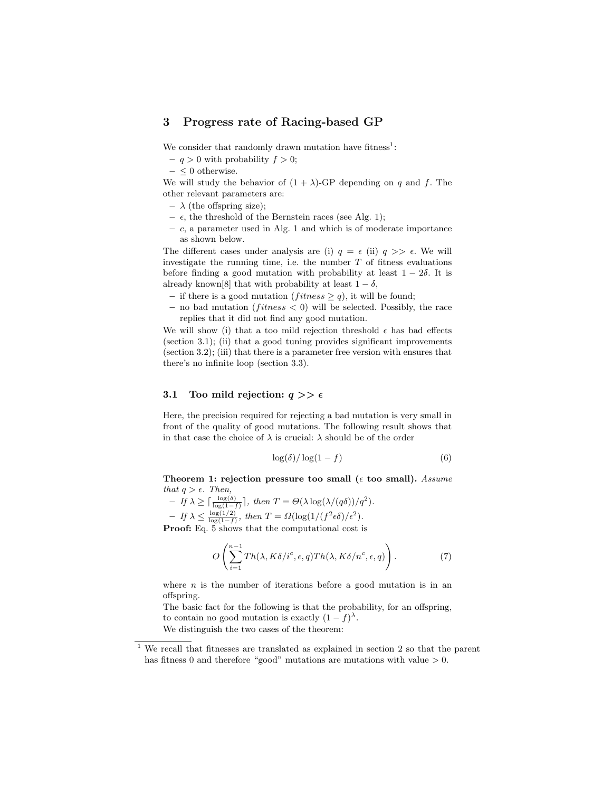## 3 Progress rate of Racing-based GP

We consider that randomly drawn mutation have fitness<sup>1</sup>:

- $q > 0$  with probability  $f > 0$ ;
- $\leq 0$  otherwise.

We will study the behavior of  $(1 + \lambda)$ -GP depending on q and f. The other relevant parameters are:

- $\lambda$  (the offspring size);
- $\epsilon$ , the threshold of the Bernstein races (see Alg. 1);
- $c$ , a parameter used in Alg. 1 and which is of moderate importance as shown below.

The different cases under analysis are (i)  $q = \epsilon$  (ii)  $q \gg \epsilon$ . We will investigate the running time, i.e. the number  $T$  of fitness evaluations before finding a good mutation with probability at least  $1 - 2\delta$ . It is already known[8] that with probability at least  $1 - \delta$ ,

- if there is a good mutation (*fitness*  $\geq q$ ), it will be found;
- no bad mutation ( $fitness < 0$ ) will be selected. Possibly, the race replies that it did not find any good mutation.

We will show (i) that a too mild rejection threshold  $\epsilon$  has bad effects (section 3.1); (ii) that a good tuning provides significant improvements (section 3.2); (iii) that there is a parameter free version with ensures that there's no infinite loop (section 3.3).

#### 3.1 Too mild rejection:  $q \gg \epsilon$

Here, the precision required for rejecting a bad mutation is very small in front of the quality of good mutations. The following result shows that in that case the choice of  $\lambda$  is crucial:  $\lambda$  should be of the order

$$
\log(\delta) / \log(1 - f) \tag{6}
$$

Theorem 1: rejection pressure too small  $(\epsilon$  too small). *Assume that*  $q > \epsilon$ *. Then,* 

$$
- If \lambda \ge \lceil \frac{\log(\delta)}{\log(1-f)} \rceil, then T = \Theta(\lambda \log(\lambda/(q\delta))/q^2).
$$
  
- If  $\lambda \le \frac{\log(1/2)}{\log(1-f)}$ , then  $T = \Omega(\log(1/(f^2\epsilon\delta)/\epsilon^2)).$   
**Proof:** Eq. 5 shows that the computational cost is

$$
O\left(\sum_{i=1}^{n-1} Th(\lambda, K\delta/i^c, \epsilon, q) Th(\lambda, K\delta/n^c, \epsilon, q)\right).
$$
 (7)

where  $n$  is the number of iterations before a good mutation is in an offspring.

The basic fact for the following is that the probability, for an offspring, to contain no good mutation is exactly  $(1-f)^{\lambda}$ . We distinguish the two cases of the theorem:

<sup>1</sup> We recall that fitnesses are translated as explained in section 2 so that the parent has fitness 0 and therefore "good" mutations are mutations with value  $> 0$ .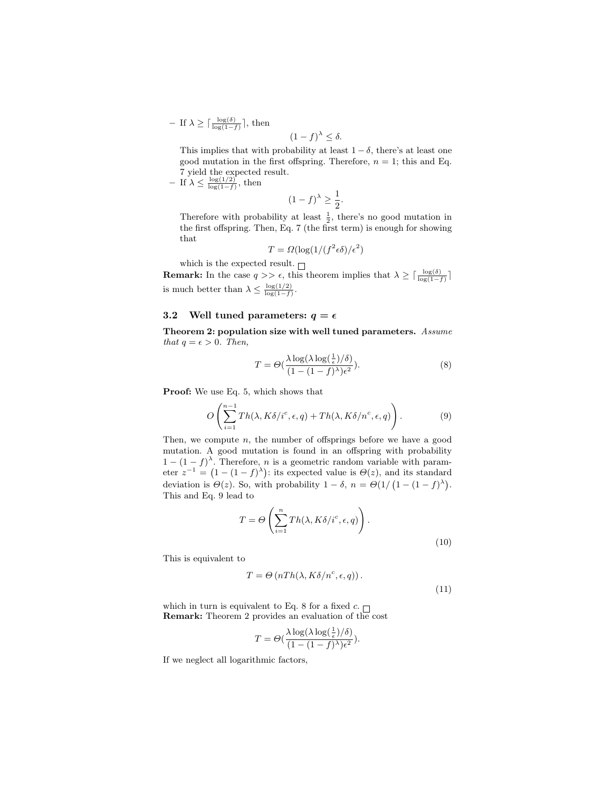- If 
$$
\lambda \ge \lceil \frac{\log(\delta)}{\log(1-f)} \rceil
$$
, then

This implies that with probability at least 
$$
1 - \delta
$$
, there's at least one good mutation in the first offspring. Therefore,  $n = 1$ ; this and Eq. 7 yield the expected result.

 $(1-f)^{\lambda} \leq \delta$ .

 $-$  If  $\lambda \leq \frac{\log(1/2)}{\log(1-f)}$ , then

$$
(1-f)^{\lambda} \ge \frac{1}{2}.
$$

Therefore with probability at least  $\frac{1}{2}$ , there's no good mutation in the first offspring. Then, Eq. 7 (the first term) is enough for showing that

$$
T = \Omega(\log(1/(f^2 \epsilon \delta)/\epsilon^2))
$$

which is the expected result.  $\Box$ 

**Remark:** In the case  $q \gg \epsilon$ , this theorem implies that  $\lambda \geq \lceil \frac{\log(\delta)}{\log(1-f)} \rceil$ is much better than  $\lambda \leq \frac{\log(1/2)}{\log(1-f)}$ .

#### 3.2 Well tuned parameters:  $q = \epsilon$

Theorem 2: population size with well tuned parameters. *Assume that*  $q = \epsilon > 0$ *. Then,* 

$$
T = \Theta\left(\frac{\lambda \log(\lambda \log(\frac{1}{\epsilon})/\delta)}{(1 - (1 - f))^{\lambda})\epsilon^2}\right).
$$
\n(8)

Proof: We use Eq. 5, which shows that

$$
O\left(\sum_{i=1}^{n-1} Th(\lambda, K\delta/i^c, \epsilon, q) + Th(\lambda, K\delta/n^c, \epsilon, q)\right).
$$
 (9)

Then, we compute  $n$ , the number of offsprings before we have a good mutation. A good mutation is found in an offspring with probability  $1 - (1 - f)^{\lambda}$ . Therefore, *n* is a geometric random variable with parameter  $z^{-1} = (1 - (1 - f)^{\lambda})$ : its expected value is  $\Theta(z)$ , and its standard deviation is  $\Theta(z)$ . So, with probability  $1 - \delta$ ,  $n = \Theta(1/(1-(1-f)^{\lambda}))$ . This and Eq. 9 lead to

$$
T = \Theta\left(\sum_{i=1}^n Th(\lambda, K\delta/i^c, \epsilon, q)\right).
$$

(10)

This is equivalent to

$$
T = \Theta\left(nTh(\lambda, K\delta/n^c, \epsilon, q)\right). \tag{11}
$$

which in turn is equivalent to Eq.  $8$  for a fixed  $c$ . Remark: Theorem 2 provides an evaluation of the cost

$$
T = \Theta(\frac{\lambda \log(\lambda \log(\frac{1}{\epsilon})/\delta)}{(1 - (1 - f)^{\lambda})\epsilon^2}).
$$

If we neglect all logarithmic factors,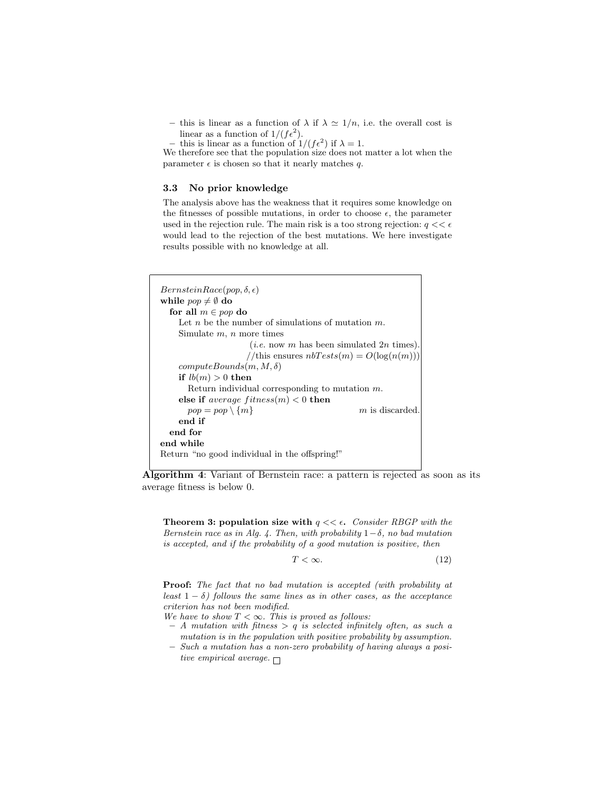– this is linear as a function of  $\lambda$  if  $\lambda \simeq 1/n$ , i.e. the overall cost is linear as a function of  $1/(f\epsilon^2)$ .

- this is linear as a function of  $1/(f\epsilon^2)$  if  $\lambda = 1$ .

We therefore see that the population size does not matter a lot when the parameter  $\epsilon$  is chosen so that it nearly matches q.

#### 3.3 No prior knowledge

The analysis above has the weakness that it requires some knowledge on the fitnesses of possible mutations, in order to choose  $\epsilon$ , the parameter used in the rejection rule. The main risk is a too strong rejection:  $q \ll \epsilon$ would lead to the rejection of the best mutations. We here investigate results possible with no knowledge at all.

```
Bernstein Race(pop, \delta, \epsilon)while pop \neq \emptyset do
  for all m \in pop do
    Let n be the number of simulations of mutation m.
    Simulate m, n more times
                     (i.e. now m has been simulated 2n times).
                     //this ensures nbTests(m) = O(log(n(m)))computeBounds(m, M, \delta)if lb(m) > 0 then
      Return individual corresponding to mutation m.
    else if average fitness(m) < 0 then
      pop = pop \setminus \{m\} m is discarded
    end if
  end for
end while
Return "no good individual in the offspring!"
```
Algorithm 4: Variant of Bernstein race: a pattern is rejected as soon as its average fitness is below 0.

**Theorem 3: population size with**  $q \ll \epsilon$ . *Consider RBGP with the Bernstein race as in Alg. 4. Then, with probability* 1−δ*, no bad mutation is accepted, and if the probability of a good mutation is positive, then*

$$
T < \infty. \tag{12}
$$

Proof: *The fact that no bad mutation is accepted (with probability at least*  $1 - \delta$ *)* follows the same lines as in other cases, as the acceptance *criterion has not been modified.*

- *We have to show*  $T < \infty$ *. This is proved as follows:*
- *A mutation with fitness* > q *is selected infinitely often, as such a mutation is in the population with positive probability by assumption.*
- *Such a mutation has a non-zero probability of having always a positive empirical average.*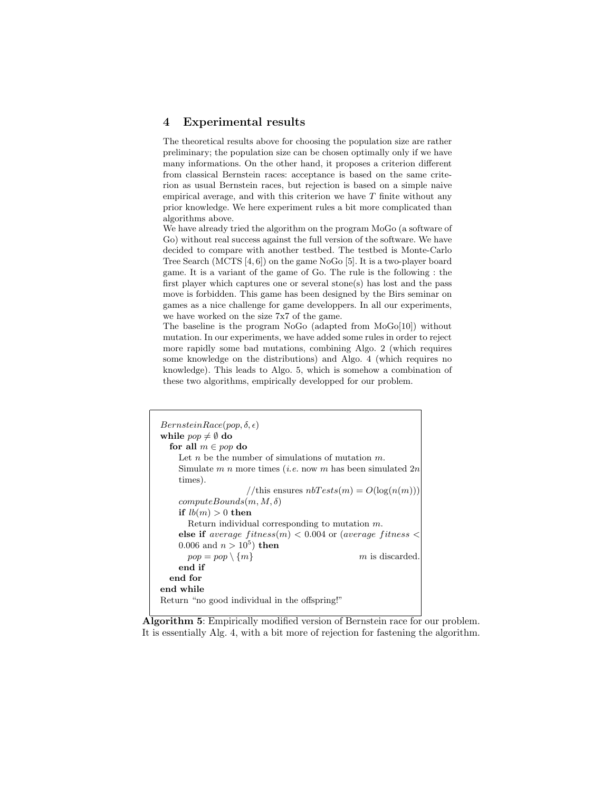### 4 Experimental results

The theoretical results above for choosing the population size are rather preliminary; the population size can be chosen optimally only if we have many informations. On the other hand, it proposes a criterion different from classical Bernstein races: acceptance is based on the same criterion as usual Bernstein races, but rejection is based on a simple naive empirical average, and with this criterion we have  $T$  finite without any prior knowledge. We here experiment rules a bit more complicated than algorithms above.

We have already tried the algorithm on the program MoGo (a software of Go) without real success against the full version of the software. We have decided to compare with another testbed. The testbed is Monte-Carlo Tree Search (MCTS [4, 6]) on the game NoGo [5]. It is a two-player board game. It is a variant of the game of Go. The rule is the following : the first player which captures one or several stone(s) has lost and the pass move is forbidden. This game has been designed by the Birs seminar on games as a nice challenge for game developpers. In all our experiments, we have worked on the size 7x7 of the game.

The baseline is the program NoGo (adapted from MoGo[10]) without mutation. In our experiments, we have added some rules in order to reject more rapidly some bad mutations, combining Algo. 2 (which requires some knowledge on the distributions) and Algo. 4 (which requires no knowledge). This leads to Algo. 5, which is somehow a combination of these two algorithms, empirically developped for our problem.

| $Bernstein Race(pop, \delta, \epsilon)$                             |  |
|---------------------------------------------------------------------|--|
| while $pop \neq \emptyset$ do                                       |  |
| for all $m \in pop$ do                                              |  |
| Let n be the number of simulations of mutation $m$ .                |  |
| Simulate m n more times ( <i>i.e.</i> now m has been simulated $2n$ |  |
| times).                                                             |  |
| //this ensures $nbTests(m) = O(log(n(m)))$                          |  |
| $computeBounds(m, M, \delta)$                                       |  |
| if $lb(m) > 0$ then                                                 |  |
| Return individual corresponding to mutation $m$ .                   |  |
| else if average $fitness(m) < 0.004$ or (average fitness            |  |
| 0.006 and $n > 10^5$ ) then                                         |  |
| $pop = pop \setminus \{m\}$<br>$m$ is discarded                     |  |
| end if                                                              |  |
| end for                                                             |  |
| end while                                                           |  |
| Return "no good individual in the offspring!"                       |  |

Algorithm 5: Empirically modified version of Bernstein race for our problem. It is essentially Alg. 4, with a bit more of rejection for fastening the algorithm.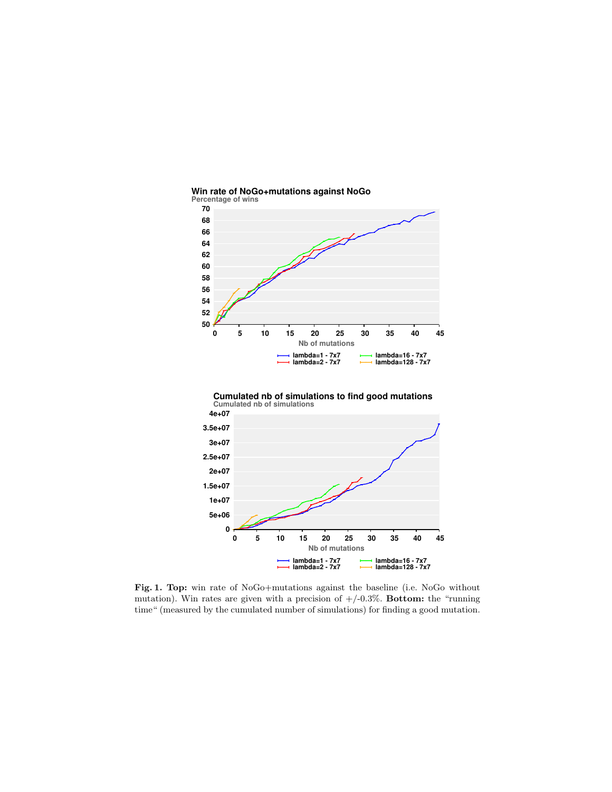





Fig. 1. Top: win rate of NoGo+mutations against the baseline (i.e. NoGo without mutation). Win rates are given with a precision of  $+/-0.3\%$ . Bottom: the "running time" (measured by the cumulated number of simulations) for finding a good mutation.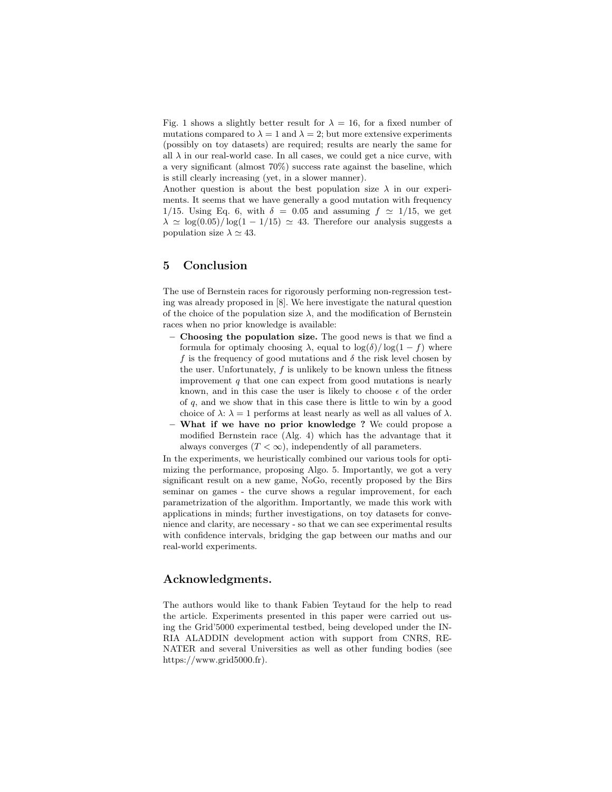Fig. 1 shows a slightly better result for  $\lambda = 16$ , for a fixed number of mutations compared to  $\lambda = 1$  and  $\lambda = 2$ ; but more extensive experiments (possibly on toy datasets) are required; results are nearly the same for all  $\lambda$  in our real-world case. In all cases, we could get a nice curve, with a very significant (almost 70%) success rate against the baseline, which is still clearly increasing (yet, in a slower manner).

Another question is about the best population size  $\lambda$  in our experiments. It seems that we have generally a good mutation with frequency 1/15. Using Eq. 6, with  $\delta = 0.05$  and assuming  $f \approx 1/15$ , we get  $\lambda \simeq \log(0.05)/\log(1-1/15) \simeq 43$ . Therefore our analysis suggests a population size  $\lambda \simeq 43$ .

### 5 Conclusion

The use of Bernstein races for rigorously performing non-regression testing was already proposed in [8]. We here investigate the natural question of the choice of the population size  $\lambda$ , and the modification of Bernstein races when no prior knowledge is available:

- Choosing the population size. The good news is that we find a formula for optimaly choosing  $\lambda$ , equal to  $\log(\delta)/\log(1-f)$  where f is the frequency of good mutations and  $\delta$  the risk level chosen by the user. Unfortunately,  $f$  is unlikely to be known unless the fitness improvement  $q$  that one can expect from good mutations is nearly known, and in this case the user is likely to choose  $\epsilon$  of the order of  $q$ , and we show that in this case there is little to win by a good choice of  $\lambda: \lambda = 1$  performs at least nearly as well as all values of  $\lambda$ .
- What if we have no prior knowledge ? We could propose a modified Bernstein race (Alg. 4) which has the advantage that it always converges  $(T < \infty)$ , independently of all parameters.

In the experiments, we heuristically combined our various tools for optimizing the performance, proposing Algo. 5. Importantly, we got a very significant result on a new game, NoGo, recently proposed by the Birs seminar on games - the curve shows a regular improvement, for each parametrization of the algorithm. Importantly, we made this work with applications in minds; further investigations, on toy datasets for convenience and clarity, are necessary - so that we can see experimental results with confidence intervals, bridging the gap between our maths and our real-world experiments.

## Acknowledgments.

The authors would like to thank Fabien Teytaud for the help to read the article. Experiments presented in this paper were carried out using the Grid'5000 experimental testbed, being developed under the IN-RIA ALADDIN development action with support from CNRS, RE-NATER and several Universities as well as other funding bodies (see https://www.grid5000.fr).